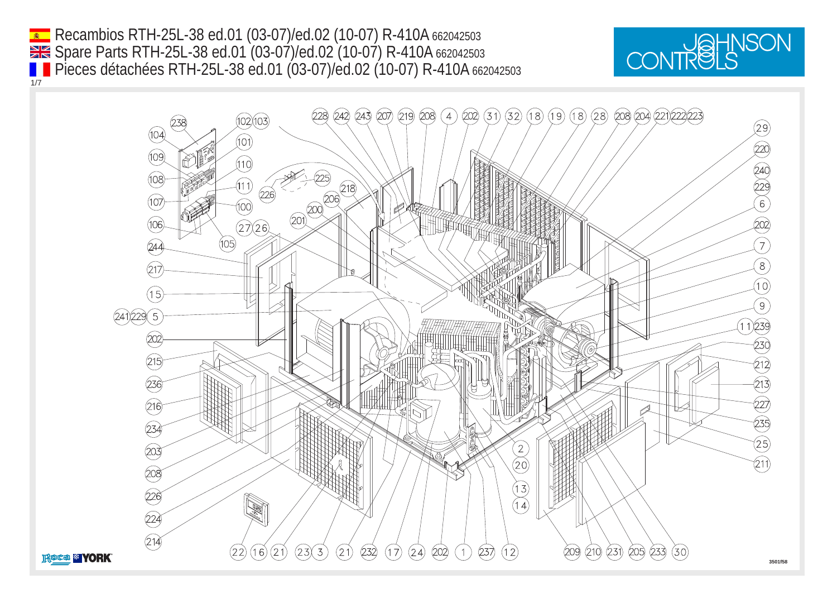Recambios RTH-25L-38 ed.01 (03-07)/ed.02 (10-07) R-410A 662042503 1/7 Spare Parts RTH-25L-38 ed.01 (03-07)/ed.02 (10-07) R-410A 662042503 Pieces détachées RTH-25L-38 ed.01 (03-07)/ed.02 (10-07) R-410A 662042503



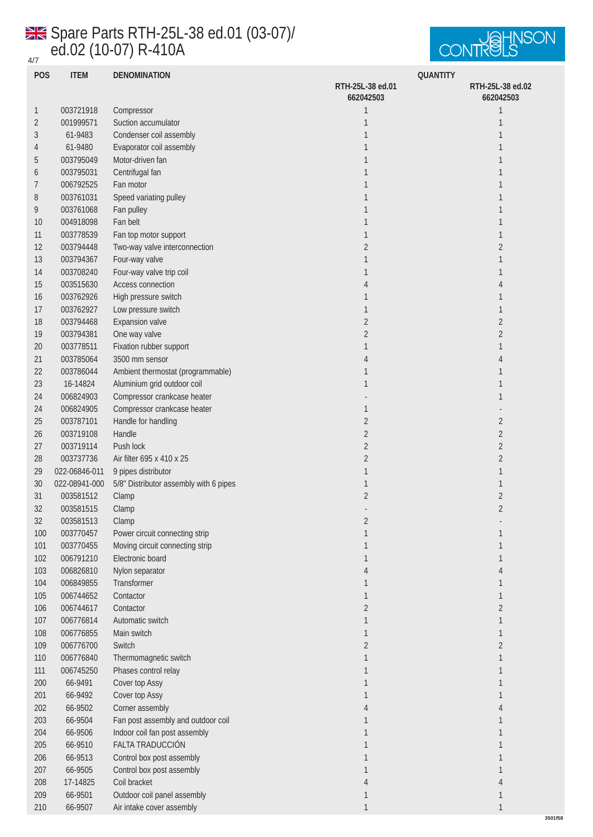## 4/7 Spare Parts RTH-25L-38 ed.01 (03-07)/ ed.02 (10-07) R-410A



**3501f58**

| <b>POS</b>       | <b>ITEM</b>   | <b>DENOMINATION</b>                    | <b>QUANTITY</b>  |                  |
|------------------|---------------|----------------------------------------|------------------|------------------|
|                  |               |                                        | RTH-25L-38 ed.01 | RTH-25L-38 ed.02 |
|                  |               |                                        | 662042503        | 662042503        |
| $\mathbf{1}$     | 003721918     | Compressor                             | $\mathbf{1}$     | 1                |
| $\boldsymbol{2}$ | 001999571     | Suction accumulator                    | $\mathbf{1}$     | 1                |
| 3                | 61-9483       | Condenser coil assembly                | $\mathbf{1}$     | 1                |
| 4                | 61-9480       | Evaporator coil assembly               | 1                | 1                |
| 5                | 003795049     | Motor-driven fan                       | 1                | 1                |
| 6                | 003795031     | Centrifugal fan                        | $\mathbf{1}$     | 1                |
| 7                | 006792525     | Fan motor                              | 1                | 1                |
| 8                | 003761031     | Speed variating pulley                 | $\mathbf{1}$     | 1                |
| 9                | 003761068     |                                        | $\mathbf{1}$     |                  |
|                  |               | Fan pulley<br>Fan belt                 |                  | 1                |
| 10               | 004918098     |                                        | $\mathbf{1}$     | 1                |
| $11\,$           | 003778539     | Fan top motor support                  | $\mathbf{1}$     | 1                |
| 12               | 003794448     | Two-way valve interconnection          | $\sqrt{2}$       | $\boldsymbol{2}$ |
| 13               | 003794367     | Four-way valve                         | $\mathbf{1}$     | 1                |
| 14               | 003708240     | Four-way valve trip coil               | $\mathbf{1}$     | 1                |
| 15               | 003515630     | Access connection                      | 4                | 4                |
| 16               | 003762926     | High pressure switch                   | 1                | 1                |
| 17               | 003762927     | Low pressure switch                    | $\mathbf{1}$     | 1                |
| 18               | 003794468     | <b>Expansion</b> valve                 | $\boldsymbol{2}$ | $\boldsymbol{2}$ |
| 19               | 003794381     | One way valve                          | $\boldsymbol{2}$ | $\boldsymbol{2}$ |
| $20\,$           | 003778511     | Fixation rubber support                | 1                | 1                |
| 21               | 003785064     | 3500 mm sensor                         | 4                | 4                |
| $22\,$           | 003786044     | Ambient thermostat (programmable)      | $\mathbf{1}$     | 1                |
| 23               | 16-14824      | Aluminium grid outdoor coil            | $\mathbf{1}$     | 1                |
| 24               | 006824903     | Compressor crankcase heater            |                  | 1                |
| 24               | 006824905     | Compressor crankcase heater            | $\mathbf{1}$     |                  |
| $25\,$           | 003787101     | Handle for handling                    | $\boldsymbol{2}$ | $\boldsymbol{2}$ |
| 26               | 003719108     | Handle                                 | $\sqrt{2}$       | $\boldsymbol{2}$ |
| 27               | 003719114     | Push lock                              | $\sqrt{2}$       | $\boldsymbol{2}$ |
| 28               | 003737736     | Air filter 695 x 410 x 25              | $\boldsymbol{2}$ | $\boldsymbol{2}$ |
| 29               | 022-06846-011 | 9 pipes distributor                    | $\mathbf{1}$     | 1                |
|                  |               |                                        |                  |                  |
| 30               | 022-08941-000 | 5/8" Distributor assembly with 6 pipes | $\mathbf{1}$     | 1                |
| 31               | 003581512     | Clamp                                  | $\boldsymbol{2}$ | $\boldsymbol{2}$ |
| 32               | 003581515     | Clamp                                  |                  | $\overline{2}$   |
| $32\,$           | 003581513     | Clamp                                  | $\boldsymbol{2}$ |                  |
| 100              | 003770457     | Power circuit connecting strip         | $\mathbf{1}$     | $\mathbf{1}$     |
| 101              | 003770455     | Moving circuit connecting strip        | $\mathbf{1}$     | 1                |
| 102              | 006791210     | Electronic board                       | $\mathbf{1}$     | 1                |
| 103              | 006826810     | Nylon separator                        | 4                | 4                |
| 104              | 006849855     | Transformer                            | 1                | 1                |
| 105              | 006744652     | Contactor                              | $\mathbf{1}$     | $\mathbf{1}$     |
| 106              | 006744617     | Contactor                              | $\boldsymbol{2}$ | $\boldsymbol{2}$ |
| 107              | 006776814     | Automatic switch                       | $\mathbf{1}$     | $\mathbf{1}$     |
| 108              | 006776855     | Main switch                            | $\mathbf{1}$     | 1                |
| 109              | 006776700     | Switch                                 | $\boldsymbol{2}$ | $\boldsymbol{2}$ |
| 110              | 006776840     | Thermomagnetic switch                  | $\mathbf{1}$     | $\mathbf{1}$     |
| 111              | 006745250     | Phases control relay                   | $\mathbf{1}$     | 1                |
| $200\,$          | 66-9491       | Cover top Assy                         | $\mathbf{1}$     | 1                |
| 201              | 66-9492       | <b>Cover top Assy</b>                  | $\mathbf{1}$     | 1                |
| $202\,$          | 66-9502       | Corner assembly                        | 4                | 4                |
| 203              | 66-9504       | Fan post assembly and outdoor coil     | $\mathbf{1}$     | 1                |
| 204              | 66-9506       | Indoor coil fan post assembly          | 1                | 1                |
| $205\,$          | 66-9510       | FALTA TRADUCCIÓN                       | $\mathbf{1}$     | 1                |
| 206              | 66-9513       | Control box post assembly              | $\mathbf{1}$     | 1                |
| $207\,$          | 66-9505       | Control box post assembly              | 1                | 1                |
| 208              |               | Coil bracket                           |                  |                  |
|                  | 17-14825      |                                        | 4                | 4                |
| 209              | 66-9501       | Outdoor coil panel assembly            | $\mathbf{1}$     | 1                |
| 210              | 66-9507       | Air intake cover assembly              | $\mathbf{1}$     | 1                |